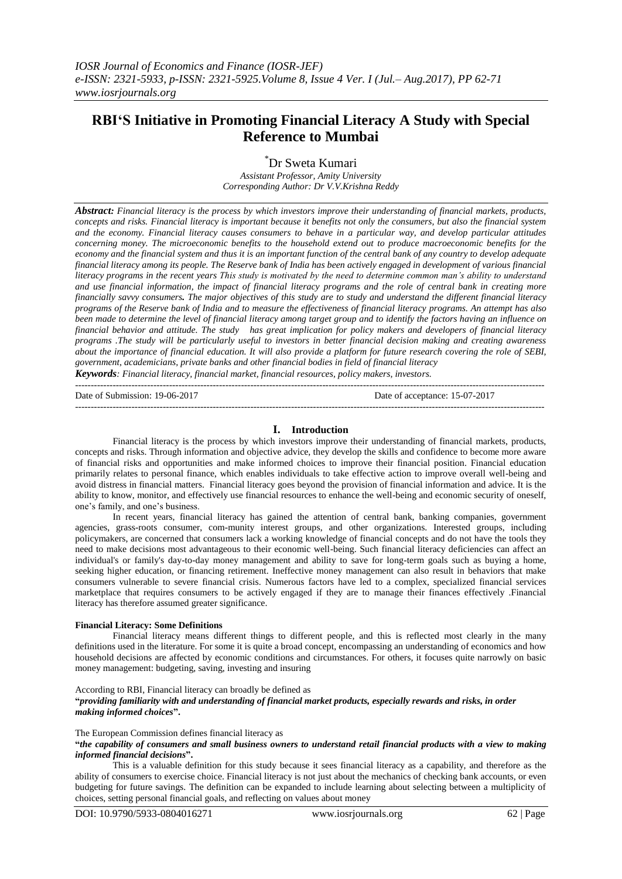# **RBI"S Initiative in Promoting Financial Literacy A Study with Special Reference to Mumbai**

\*Dr Sweta Kumari *Assistant Professor, Amity University Corresponding Author: Dr V.V.Krishna Reddy*

*Abstract: Financial literacy is the process by which investors improve their understanding of financial markets, products, concepts and risks. Financial literacy is important because it benefits not only the consumers, but also the financial system and the economy. Financial literacy causes consumers to behave in a particular way, and develop particular attitudes concerning money. The microeconomic benefits to the household extend out to produce macroeconomic benefits for the economy and the financial system and thus it is an important function of the central bank of any country to develop adequate financial literacy among its people. The Reserve bank of India has been actively engaged in development of various financial literacy programs in the recent years This study is motivated by the need to determine common man's ability to understand and use financial information, the impact of financial literacy programs and the role of central bank in creating more financially savvy consumers. The major objectives of this study are to study and understand the different financial literacy programs of the Reserve bank of India and to measure the effectiveness of financial literacy programs. An attempt has also been made to determine the level of financial literacy among target group and to identify the factors having an influence on financial behavior and attitude. The study has great implication for policy makers and developers of financial literacy programs .The study will be particularly useful to investors in better financial decision making and creating awareness about the importance of financial education. It will also provide a platform for future research covering the role of SEBI, government, academicians, private banks and other financial bodies in field of financial literacy* 

*Keywords: Financial literacy, financial market, financial resources, policy makers, investors.* ------------------------------------------------------------------------------------------------------------------------------------------------------

Date of Submission: 19-06-2017 Date of acceptance: 15-07-2017 ------------------------------------------------------------------------------------------------------------------------------------------------------

#### **I. Introduction**

Financial literacy is the process by which investors improve their understanding of financial markets, products, concepts and risks. Through information and objective advice, they develop the skills and confidence to become more aware of financial risks and opportunities and make informed choices to improve their financial position. Financial education primarily relates to personal finance, which enables individuals to take effective action to improve overall well-being and avoid distress in financial matters. Financial literacy goes beyond the provision of financial information and advice. It is the ability to know, monitor, and effectively use financial resources to enhance the well-being and economic security of oneself, one"s family, and one"s business.

In recent years, financial literacy has gained the attention of central bank, banking companies, government agencies, grass-roots consumer, com-munity interest groups, and other organizations. Interested groups, including policymakers, are concerned that consumers lack a working knowledge of financial concepts and do not have the tools they need to make decisions most advantageous to their economic well-being. Such financial literacy deficiencies can affect an individual's or family's day-to-day money management and ability to save for long-term goals such as buying a home, seeking higher education, or financing retirement. Ineffective money management can also result in behaviors that make consumers vulnerable to severe financial crisis. Numerous factors have led to a complex, specialized financial services marketplace that requires consumers to be actively engaged if they are to manage their finances effectively .Financial literacy has therefore assumed greater significance.

#### **Financial Literacy: Some Definitions**

Financial literacy means different things to different people, and this is reflected most clearly in the many definitions used in the literature. For some it is quite a broad concept, encompassing an understanding of economics and how household decisions are affected by economic conditions and circumstances. For others, it focuses quite narrowly on basic money management: budgeting, saving, investing and insuring

#### According to RBI, Financial literacy can broadly be defined as **"***providing familiarity with and understanding of financial market products, especially rewards and risks, in order making informed choices***".**

#### The European Commission defines financial literacy as

**"***the capability of consumers and small business owners to understand retail financial products with a view to making informed financial decisions***".**

This is a valuable definition for this study because it sees financial literacy as a capability, and therefore as the ability of consumers to exercise choice. Financial literacy is not just about the mechanics of checking bank accounts, or even budgeting for future savings. The definition can be expanded to include learning about selecting between a multiplicity of choices, setting personal financial goals, and reflecting on values about money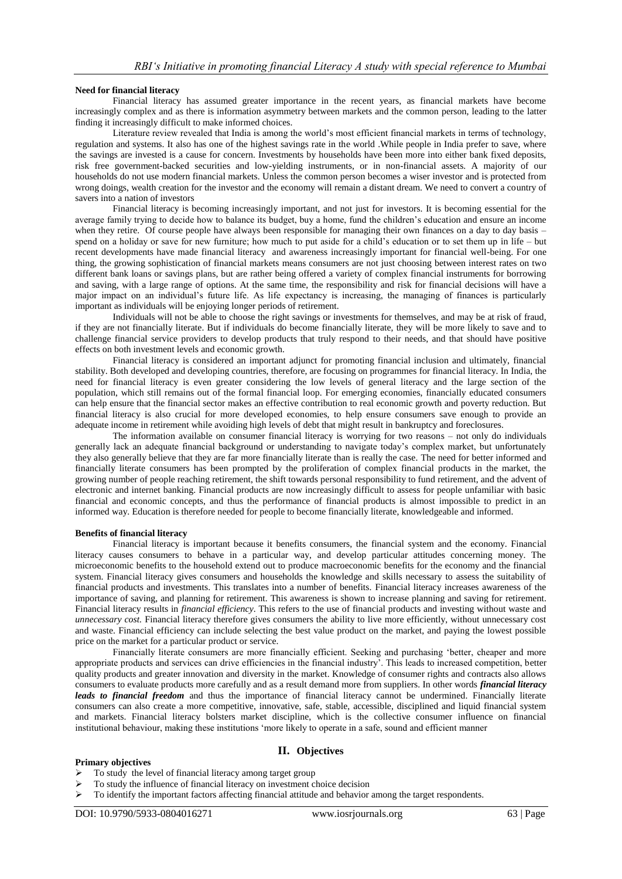#### **Need for financial literacy**

Financial literacy has assumed greater importance in the recent years, as financial markets have become increasingly complex and as there is information asymmetry between markets and the common person, leading to the latter finding it increasingly difficult to make informed choices.

Literature review revealed that India is among the world"s most efficient financial markets in terms of technology, regulation and systems. It also has one of the highest savings rate in the world .While people in India prefer to save, where the savings are invested is a cause for concern. Investments by households have been more into either bank fixed deposits, risk free government-backed securities and low-yielding instruments, or in non-financial assets. A majority of our households do not use modern financial markets. Unless the common person becomes a wiser investor and is protected from wrong doings, wealth creation for the investor and the economy will remain a distant dream. We need to convert a country of savers into a nation of investors

Financial literacy is becoming increasingly important, and not just for investors. It is becoming essential for the average family trying to decide how to balance its budget, buy a home, fund the children"s education and ensure an income when they retire. Of course people have always been responsible for managing their own finances on a day to day basis – spend on a holiday or save for new furniture; how much to put aside for a child's education or to set them up in life – but recent developments have made financial literacy and awareness increasingly important for financial well-being. For one thing, the growing sophistication of financial markets means consumers are not just choosing between interest rates on two different bank loans or savings plans, but are rather being offered a variety of complex financial instruments for borrowing and saving, with a large range of options. At the same time, the responsibility and risk for financial decisions will have a major impact on an individual"s future life. As life expectancy is increasing, the managing of finances is particularly important as individuals will be enjoying longer periods of retirement.

Individuals will not be able to choose the right savings or investments for themselves, and may be at risk of fraud, if they are not financially literate. But if individuals do become financially literate, they will be more likely to save and to challenge financial service providers to develop products that truly respond to their needs, and that should have positive effects on both investment levels and economic growth.

Financial literacy is considered an important adjunct for promoting financial inclusion and ultimately, financial stability. Both developed and developing countries, therefore, are focusing on programmes for financial literacy. In India, the need for financial literacy is even greater considering the low levels of general literacy and the large section of the population, which still remains out of the formal financial loop. For emerging economies, financially educated consumers can help ensure that the financial sector makes an effective contribution to real economic growth and poverty reduction. But financial literacy is also crucial for more developed economies, to help ensure consumers save enough to provide an adequate income in retirement while avoiding high levels of debt that might result in bankruptcy and foreclosures.

The information available on consumer financial literacy is worrying for two reasons – not only do individuals generally lack an adequate financial background or understanding to navigate today"s complex market, but unfortunately they also generally believe that they are far more financially literate than is really the case. The need for better informed and financially literate consumers has been prompted by the proliferation of complex financial products in the market, the growing number of people reaching retirement, the shift towards personal responsibility to fund retirement, and the advent of electronic and internet banking. Financial products are now increasingly difficult to assess for people unfamiliar with basic financial and economic concepts, and thus the performance of financial products is almost impossible to predict in an informed way. Education is therefore needed for people to become financially literate, knowledgeable and informed.

#### **Benefits of financial literacy**

Financial literacy is important because it benefits consumers, the financial system and the economy. Financial literacy causes consumers to behave in a particular way, and develop particular attitudes concerning money. The microeconomic benefits to the household extend out to produce macroeconomic benefits for the economy and the financial system. Financial literacy gives consumers and households the knowledge and skills necessary to assess the suitability of financial products and investments. This translates into a number of benefits. Financial literacy increases awareness of the importance of saving, and planning for retirement. This awareness is shown to increase planning and saving for retirement. Financial literacy results in *financial efficiency*. This refers to the use of financial products and investing without waste and *unnecessary cost.* Financial literacy therefore gives consumers the ability to live more efficiently, without unnecessary cost and waste. Financial efficiency can include selecting the best value product on the market, and paying the lowest possible price on the market for a particular product or service.

Financially literate consumers are more financially efficient. Seeking and purchasing "better, cheaper and more appropriate products and services can drive efficiencies in the financial industry". This leads to increased competition, better quality products and greater innovation and diversity in the market. Knowledge of consumer rights and contracts also allows consumers to evaluate products more carefully and as a result demand more from suppliers. In other words *financial literacy leads to financial freedom* and thus the importance of financial literacy cannot be undermined. Financially literate consumers can also create a more competitive, innovative, safe, stable, accessible, disciplined and liquid financial system and markets. Financial literacy bolsters market discipline, which is the collective consumer influence on financial institutional behaviour, making these institutions "more likely to operate in a safe, sound and efficient manner

# **II. Objectives**

# **Primary objectives**

- To study the level of financial literacy among target group
- To study the influence of financial literacy on investment choice decision
- To identify the important factors affecting financial attitude and behavior among the target respondents.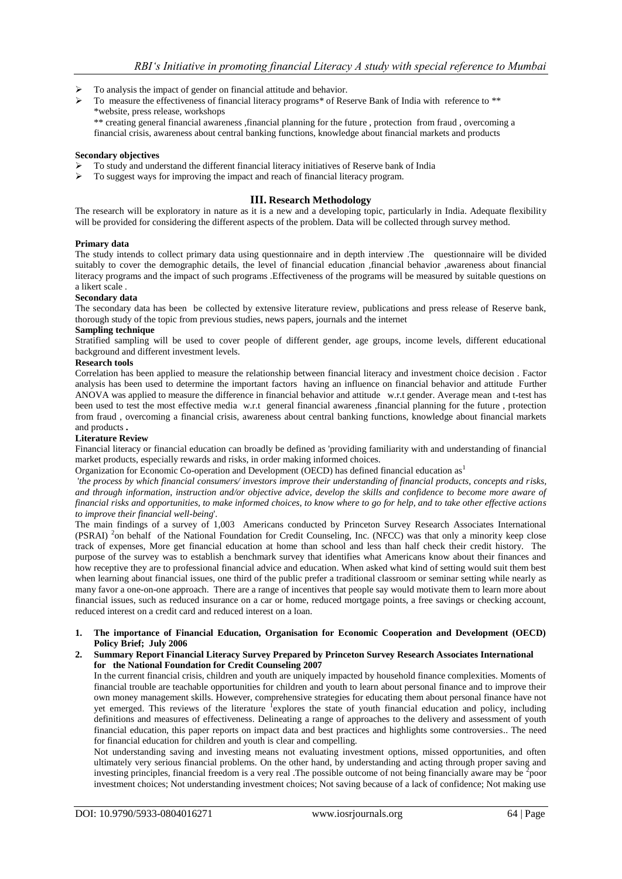- To analysis the impact of gender on financial attitude and behavior.
- To measure the effectiveness of financial literacy programs\* of Reserve Bank of India with reference to \*\* \*website, press release, workshops \*\* creating general financial awareness ,financial planning for the future , protection from fraud , overcoming a

# financial crisis, awareness about central banking functions, knowledge about financial markets and products

#### **Secondary objectives**

- To study and understand the different financial literacy initiatives of Reserve bank of India
- To suggest ways for improving the impact and reach of financial literacy program.

# **III. Research Methodology**

The research will be exploratory in nature as it is a new and a developing topic, particularly in India. Adequate flexibility will be provided for considering the different aspects of the problem. Data will be collected through survey method.

#### **Primary data**

The study intends to collect primary data using questionnaire and in depth interview .The questionnaire will be divided suitably to cover the demographic details, the level of financial education ,financial behavior ,awareness about financial literacy programs and the impact of such programs .Effectiveness of the programs will be measured by suitable questions on a likert scale .

#### **Secondary data**

The secondary data has been be collected by extensive literature review, publications and press release of Reserve bank, thorough study of the topic from previous studies, news papers, journals and the internet

#### **Sampling technique**

Stratified sampling will be used to cover people of different gender, age groups, income levels, different educational background and different investment levels.

#### **Research tools**

Correlation has been applied to measure the relationship between financial literacy and investment choice decision . Factor analysis has been used to determine the important factors having an influence on financial behavior and attitude Further ANOVA was applied to measure the difference in financial behavior and attitude w.r.t gender. Average mean and t-test has been used to test the most effective media w.r.t general financial awareness ,financial planning for the future , protection from fraud , overcoming a financial crisis, awareness about central banking functions, knowledge about financial markets and products **.**

#### **Literature Review**

Financial literacy or financial education can broadly be defined as 'providing familiarity with and understanding of financial market products, especially rewards and risks, in order making informed choices.

Organization for Economic Co-operation and Development (OECD) has defined financial education as<sup>1</sup>

'*the process by which financial consumers/ investors improve their understanding of financial products, concepts and risks, and through information, instruction and/or objective advice, develop the skills and confidence to become more aware of financial risks and opportunities, to make informed choices, to know where to go for help, and to take other effective actions to improve their financial well-being*'.

The main findings of a survey of 1,003 Americans conducted by Princeton Survey Research Associates International (PSRAI) <sup>2</sup>on behalf of the National Foundation for Credit Counseling, Inc. (NFCC) was that only a minority keep close track of expenses, More get financial education at home than school and less than half check their credit history. The purpose of the survey was to establish a benchmark survey that identifies what Americans know about their finances and how receptive they are to professional financial advice and education. When asked what kind of setting would suit them best when learning about financial issues, one third of the public prefer a traditional classroom or seminar setting while nearly as many favor a one-on-one approach. There are a range of incentives that people say would motivate them to learn more about financial issues, such as reduced insurance on a car or home, reduced mortgage points, a free savings or checking account, reduced interest on a credit card and reduced interest on a loan.

- **1. The importance of Financial Education, Organisation for Economic Cooperation and Development (OECD) Policy Brief; July 2006**
- **2. Summary Report Financial Literacy Survey Prepared by Princeton Survey Research Associates International for the National Foundation for Credit Counseling 2007**

In the current financial crisis, children and youth are uniquely impacted by household finance complexities. Moments of financial trouble are teachable opportunities for children and youth to learn about personal finance and to improve their own money management skills. However, comprehensive strategies for educating them about personal finance have not yet emerged. This reviews of the literature <sup>1</sup>explores the state of youth financial education and policy, including definitions and measures of effectiveness. Delineating a range of approaches to the delivery and assessment of youth financial education, this paper reports on impact data and best practices and highlights some controversies.. The need for financial education for children and youth is clear and compelling.

Not understanding saving and investing means not evaluating investment options, missed opportunities, and often ultimately very serious financial problems. On the other hand, by understanding and acting through proper saving and investing principles, financial freedom is a very real . The possible outcome of not being financially aware may be  $\frac{1}{2}$ poor investment choices; Not understanding investment choices; Not saving because of a lack of confidence; Not making use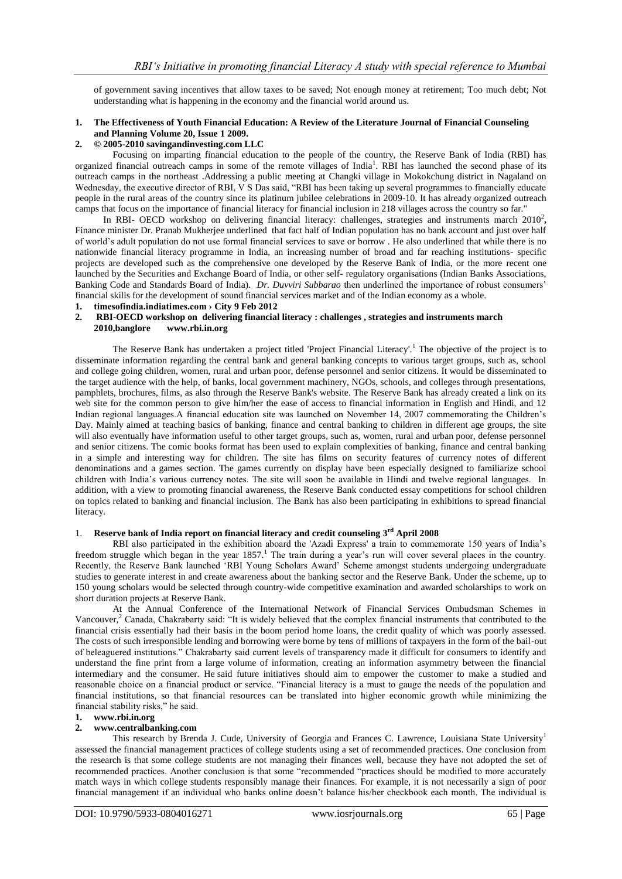of government saving incentives that allow taxes to be saved; Not enough money at retirement; Too much debt; Not understanding what is happening in the economy and the financial world around us.

## **1. The Effectiveness of Youth Financial Education: A Review of the Literature Journal of Financial Counseling and Planning Volume 20, Issue 1 2009.**

# **2. © 2005-201[0 savingandinvesting.com](http://www.savingandinvesting.com/) LLC**

Focusing on imparting financial education to the people of the country, the Reserve Bank of India (RBI) has organized financial outreach camps in some of the remote villages of India<sup>1</sup>. RBI has launched the second phase of its outreach camps in the northeast **.**Addressing a public meeting at Changki village in Mokokchung district in Nagaland on Wednesday, the executive director of RBI, V S Das said, "RBI has been taking up several programmes to financially educate people in the rural areas of the country since its platinum jubilee celebrations in 2009-10. It has already organized outreach camps that focus on the importance of financial literacy for financial inclusion in 218 villages across the country so far."

In RBI- OECD workshop on delivering financial literacy: challenges, strategies and instruments march 2010<sup>2</sup>, Finance minister Dr. Pranab Mukherjee underlined that fact half of Indian population has no bank account and just over half of world"s adult population do not use formal financial services to save or borrow . He also underlined that while there is no nationwide financial literacy programme in India, an increasing number of broad and far reaching institutions- specific projects are developed such as the comprehensive one developed by the Reserve Bank of India, or the more recent one launched by the Securities and Exchange Board of India, or other self- regulatory organisations (Indian Banks Associations, Banking Code and Standards Board of India). *Dr. Duvviri Subbarao* then underlined the importance of robust consumers" financial skills for the development of sound financial services market and of the Indian economy as a whole.

# **1. timesofindia.indiatimes.com [› City](http://www.google.co.in/url?url=http://timesofindia.indiatimes.com/city/cityarticlelist/-2128932452.cms&rct=j&sa=X&ei=9pFIT5nYLI7LrQf_19mtDw&ved=0CD4Q6QUoADAA&q=rbi+on+financial+literacy+&usg=AFQjCNGmtfLfQcLHKo5QVBOwQL_UkLTu0g) 9 Feb 2012**

# **2. RBI-OECD workshop on delivering financial literacy : challenges , strategies and instruments march 2010,banglore [www.rbi.in.org](http://www.rbi.in.org/)**

The Reserve Bank has undertaken a project titled 'Project Financial Literacy'.<sup>1</sup> The objective of the project is to disseminate information regarding the central bank and general banking concepts to various target groups, such as, school and college going children, women, rural and urban poor, defense personnel and senior citizens. It would be disseminated to the target audience with the help, of banks, local government machinery, NGOs, schools, and colleges through presentations, pamphlets, brochures, films, as also through the Reserve Bank's website. The Reserve Bank has already created a link on its web site for the common person to give him/her the ease of access to financial information in English and Hindi, and 12 Indian regional languages.A financial education site was launched on November 14, 2007 commemorating the Children"s Day. Mainly aimed at teaching basics of banking, finance and central banking to children in different age groups, the site will also eventually have information useful to other target groups, such as, women, rural and urban poor, defense personnel and senior citizens. The comic books format has been used to explain complexities of banking, finance and central banking in a simple and interesting way for children. The site has films on security features of currency notes of different denominations and a games section. The games currently on display have been especially designed to familiarize school children with India"s various currency notes. The site will soon be available in Hindi and twelve regional languages. In addition, with a view to promoting financial awareness, the Reserve Bank conducted essay competitions for school children on topics related to banking and financial inclusion. The Bank has also been participating in exhibitions to spread financial literacy.

# 1. **Reserve bank of India report on financial literacy and credit counseling 3rd April 2008**

RBI also participated in the exhibition aboard the 'Azadi Express' a train to commemorate 150 years of India"s freedom struggle which began in the year  $1857<sup>1</sup>$ . The train during a year's run will cover several places in the country. Recently, the Reserve Bank launched "RBI Young Scholars Award" Scheme amongst students undergoing undergraduate studies to generate interest in and create awareness about the banking sector and the Reserve Bank. Under the scheme, up to 150 young scholars would be selected through country-wide competitive examination and awarded scholarships to work on short duration projects at Reserve Bank.

At the Annual Conference of the International Network of Financial Services Ombudsman Schemes in Vancouver, $2^{\circ}$  Canada, Chakrabarty said: "It is widely believed that the complex financial instruments that contributed to the financial crisis essentially had their basis in the boom period home loans, the credit quality of which was poorly assessed. The costs of such irresponsible lending and borrowing were borne by tens of millions of taxpayers in the form of the bail-out of beleaguered institutions." Chakrabarty said current levels of transparency made it difficult for consumers to identify and understand the fine print from a large volume of information, creating an information asymmetry between the financial intermediary and the consumer. He said future initiatives should aim to empower the customer to make a studied and reasonable choice on a financial product or service. "Financial literacy is a must to gauge the needs of the population and financial institutions, so that financial resources can be translated into higher economic growth while minimizing the financial stability risks," he said.

#### **1. [www.rbi.in.org](http://www.rbi.in.org/)**

# **2. [www.centralbanking.com](http://www.centralbanking.com/)**

This research by Brenda J. Cude, University of Georgia and Frances C. Lawrence, Louisiana State University<sup>1</sup> assessed the financial management practices of college students using a set of recommended practices. One conclusion from the research is that some college students are not managing their finances well, because they have not adopted the set of recommended practices. Another conclusion is that some "recommended "practices should be modified to more accurately match ways in which college students responsibly manage their finances. For example, it is not necessarily a sign of poor financial management if an individual who banks online doesn"t balance his/her checkbook each month. The individual is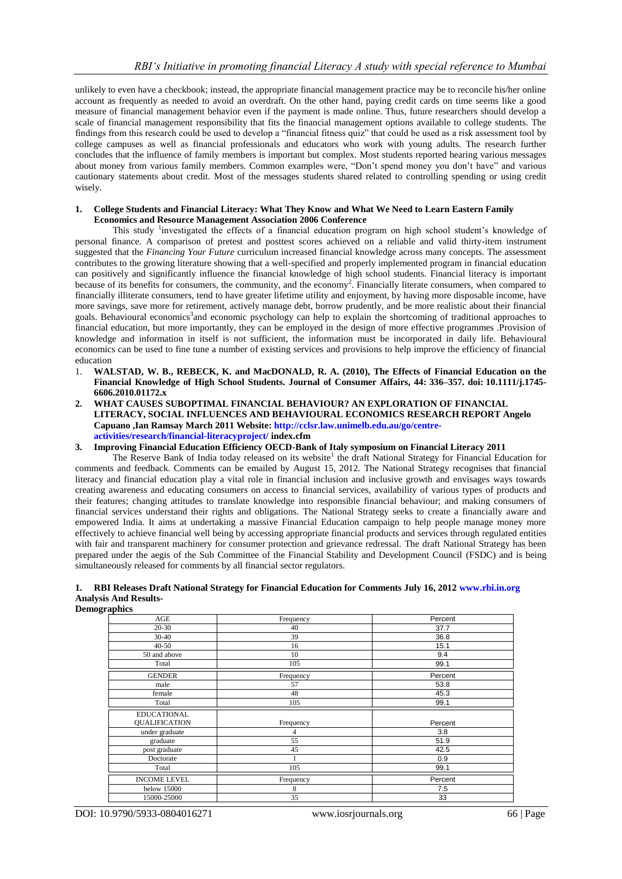unlikely to even have a checkbook; instead, the appropriate financial management practice may be to reconcile his/her online account as frequently as needed to avoid an overdraft. On the other hand, paying credit cards on time seems like a good measure of financial management behavior even if the payment is made online. Thus, future researchers should develop a scale of financial management responsibility that fits the financial management options available to college students. The findings from this research could be used to develop a "financial fitness quiz" that could be used as a risk assessment tool by college campuses as well as financial professionals and educators who work with young adults. The research further concludes that the influence of family members is important but complex*.* Most students reported hearing various messages about money from various family members. Common examples were, "Don"t spend money you don"t have" and various cautionary statements about credit. Most of the messages students shared related to controlling spending or using credit wisely.

#### **1. College Students and Financial Literacy: What They Know and What We Need to Learn Eastern Family Economics and Resource Management Association 2006 Conference**

This study <sup>1</sup>investigated the effects of a financial education program on high school student's knowledge of personal finance. A comparison of pretest and posttest scores achieved on a reliable and valid thirty-item instrument suggested that the *Financing Your Future* curriculum increased financial knowledge across many concepts. The assessment contributes to the growing literature showing that a well-specified and properly implemented program in financial education can positively and significantly influence the financial knowledge of high school students. Financial literacy is important because of its benefits for consumers, the community, and the economy<sup>2</sup>. Financially literate consumers, when compared to financially illiterate consumers, tend to have greater lifetime utility and enjoyment, by having more disposable income, have more savings, save more for retirement, actively manage debt, borrow prudently, and be more realistic about their financial goals. Behavioural economics<sup>3</sup> and economic psychology can help to explain the shortcoming of traditional approaches to financial education, but more importantly, they can be employed in the design of more effective programmes .Provision of knowledge and information in itself is not sufficient, the information must be incorporated in daily life. Behavioural economics can be used to fine tune a number of existing services and provisions to help improve the efficiency of financial education

- 1. **WALSTAD, W. B., REBECK, K. and MacDONALD, R. A. (2010), The Effects of Financial Education on the Financial Knowledge of High School Students. Journal of Consumer Affairs, 44: 336–357. doi: 10.1111/j.1745- 6606.2010.01172.x**
- **2. WHAT CAUSES SUBOPTIMAL FINANCIAL BEHAVIOUR? AN EXPLORATION OF FINANCIAL LITERACY, SOCIAL INFLUENCES AND BEHAVIOURAL ECONOMICS RESEARCH REPORT Angelo Capuano ,Ian Ramsay March 2011 Website[: http://cclsr.law.unimelb.edu.au/go/centre](http://cclsr.law.unimelb.edu.au/go/centre-activities/research/financial-literacyproject/)[activities/research/financial-literacyproject/](http://cclsr.law.unimelb.edu.au/go/centre-activities/research/financial-literacyproject/) index.cfm**

# **3. Improving Financial Education Efficiency OECD-Bank of Italy symposium on Financial Literacy 2011**

The Reserve Bank of India today released on its website<sup>1</sup> the draft National Strategy for Financial Education for comments and feedback. Comments can be emailed by August 15, 2012. The National Strategy recognises that financial literacy and financial education play a vital role in financial inclusion and inclusive growth and envisages ways towards creating awareness and educating consumers on access to financial services, availability of various types of products and their features; changing attitudes to translate knowledge into responsible financial behaviour; and making consumers of financial services understand their rights and obligations. The National Strategy seeks to create a financially aware and empowered India. It aims at undertaking a massive Financial Education campaign to help people manage money more effectively to achieve financial well being by accessing appropriate financial products and services through regulated entities with fair and transparent machinery for consumer protection and grievance redressal. The draft National Strategy has been prepared under the aegis of the Sub Committee of the Financial Stability and Development Council (FSDC) and is being simultaneously released for comments by all financial sector regulators.

#### **1. RBI Releases Draft National Strategy for Financial Education for Comments July 16, 2012 [www.rbi.in.org](http://www.rbi.in.org/) Analysis And Results-Demographics**

| AGE                  | Frequency | Percent |
|----------------------|-----------|---------|
| $20 - 30$            | 40        | 37.7    |
| $30 - 40$            | 39        | 36.8    |
| $40 - 50$            | 16        | 15.1    |
| 50 and above         | 10        | 9.4     |
| Total                | 105       | 99.1    |
| <b>GENDER</b>        | Frequency | Percent |
| male                 | 57        | 53.8    |
| female               | 48        | 45.3    |
| Total                | 105       | 99.1    |
| <b>EDUCATIONAL</b>   |           |         |
| <b>QUALIFICATION</b> | Frequency | Percent |
| under graduate       | 4         | 3.8     |
| graduate             | 55        | 51.9    |
| post graduate        | 45        | 42.5    |
| Doctorate            |           | 0.9     |
| Total                | 105       | 99.1    |
| <b>INCOME LEVEL</b>  | Frequency | Percent |
| below 15000          | 8         | 7.5     |
| 15000-25000          | 35        | 33      |

DOI: 10.9790/5933-0804016271 www.iosrjournals.org 66 | Page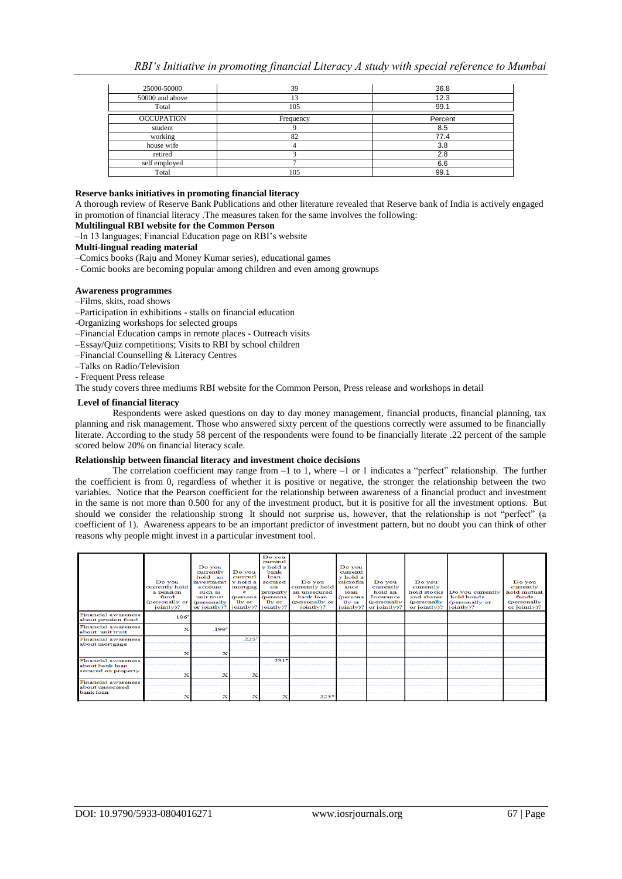| 25000-50000       | 39        | 36.8    |
|-------------------|-----------|---------|
| 50000 and above   | 13        | 12.3    |
| Total             | 105       | 99.1    |
| <b>OCCUPATION</b> | Frequency | Percent |
| student           |           | 8.5     |
| working           | 82        | 77.4    |
| house wife        |           | 3.8     |
| retired           |           | 2.8     |
| self employed     |           | 6.6     |
| Total             | 105       | 99.1    |

# **Reserve banks initiatives in promoting financial literacy**

A thorough review of Reserve Bank Publications and other literature revealed that Reserve bank of India is actively engaged in promotion of financial literacy .The measures taken for the same involves the following:

#### **Multilingual RBI website for the Common Person**

–In 13 languages; Financial Education page on RBI"s website

# **Multi-lingual reading material**

–Comics books (Raju and Money Kumar series), educational games

- Comic books are becoming popular among children and even among grownups

#### **Awareness programmes**

- –Films, skits, road shows
- –Participation in exhibitions stalls on financial education
- -Organizing workshops for selected groups
- –Financial Education camps in remote places Outreach visits
- –Essay/Quiz competitions; Visits to RBI by school children
- –Financial Counselling & Literacy Centres
- –Talks on Radio/Television
- Frequent Press release

The study covers three mediums RBI website for the Common Person, Press release and workshops in detail

#### **Level of financial literacy**

Respondents were asked questions on day to day money management, financial products, financial planning, tax planning and risk management. Those who answered sixty percent of the questions correctly were assumed to be financially literate. According to the study 58 percent of the respondents were found to be financially literate .22 percent of the sample scored below 20% on financial literacy scale.

#### **Relationship between financial literacy and investment choice decisions**

The correlation coefficient may range from  $-1$  to 1, where  $-1$  or 1 indicates a "perfect" relationship. The further the coefficient is from 0, regardless of whether it is positive or negative, the stronger the relationship between the two variables. Notice that the Pearson coefficient for the relationship between awareness of a financial product and investment in the same is not more than 0.500 for any of the investment product, but it is positive for all the investment options. But should we consider the relationship strong It should not surprise us, however, that the relationship is not "perfect" (a coefficient of 1). Awareness appears to be an important predictor of investment pattern, but no doubt you can think of other reasons why people might invest in a particular investment tool.

|                                                                      | Do you<br>currently hold<br>a pension<br>fund<br>(personally or<br>jointly)? | Do vou<br>currently<br>hold an<br>investment<br>account<br>such as<br>unit trust<br>(personally<br>or jointly)? | Do you<br>currentl<br>y hold a<br>mortgag<br>e<br>(persona (persona<br>$11v$ or<br>$\{jointly\}$ ? $\{jointly\}$ ? | Do you<br>currentl<br>y hold a<br>bank<br>loan<br>secured<br>$_{\rm on}$<br>property<br>$11v$ or | Do you<br>currently hold<br>an unsecured<br>bank loan<br>(personally or<br>jointly)? | Do you<br>currentl<br>v hold a<br>microfin<br>ance<br>loan<br>(persona<br>$11v$ or | Do you<br>currently<br>hold an<br>Insurance<br>(personally<br>jointly)? or jointly)? | Do you<br>currently<br>hold stocks<br>and shares<br>(personally<br>or jointly)? | Do you currently<br>hold bonds<br>(personally or<br>jointly)? | Do you<br>currently<br>hold mutual<br>funds<br>(personally<br>or jointly)? |
|----------------------------------------------------------------------|------------------------------------------------------------------------------|-----------------------------------------------------------------------------------------------------------------|--------------------------------------------------------------------------------------------------------------------|--------------------------------------------------------------------------------------------------|--------------------------------------------------------------------------------------|------------------------------------------------------------------------------------|--------------------------------------------------------------------------------------|---------------------------------------------------------------------------------|---------------------------------------------------------------|----------------------------------------------------------------------------|
| <b>Financial</b> awareness<br>about pension fund                     | .196                                                                         |                                                                                                                 |                                                                                                                    |                                                                                                  |                                                                                      |                                                                                    |                                                                                      |                                                                                 |                                                               |                                                                            |
| <b>Financial</b> awareness<br>about unit trust                       |                                                                              | .199'                                                                                                           |                                                                                                                    |                                                                                                  |                                                                                      |                                                                                    |                                                                                      |                                                                                 |                                                               |                                                                            |
| <b>Financial awareness</b><br>about mortgage                         |                                                                              |                                                                                                                 | $.225$ <sup>*</sup>                                                                                                |                                                                                                  |                                                                                      |                                                                                    |                                                                                      |                                                                                 |                                                               |                                                                            |
| <b>Financial</b> awareness<br>about bank loan<br>secured on property | x                                                                            | x                                                                                                               | x                                                                                                                  | .231'                                                                                            |                                                                                      |                                                                                    |                                                                                      |                                                                                 |                                                               |                                                                            |
| <b>Financial awareness</b><br>about unsecured<br>bank loan           |                                                                              |                                                                                                                 | $\bf{x}$                                                                                                           | x                                                                                                | $223*$                                                                               |                                                                                    |                                                                                      |                                                                                 |                                                               |                                                                            |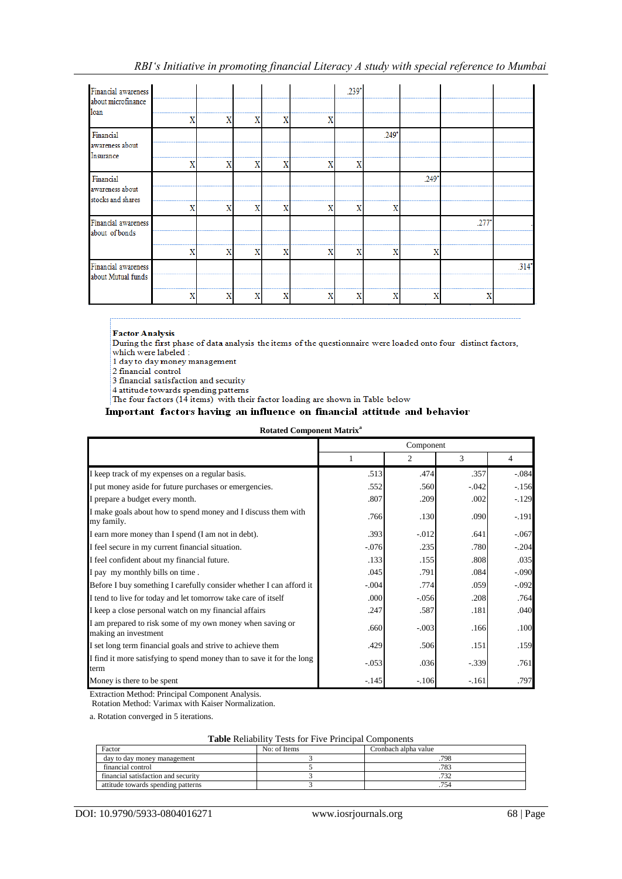| Financial awareness<br>about microfinance |   |   |   |   |   | 239' |         |                     |      |         |
|-------------------------------------------|---|---|---|---|---|------|---------|---------------------|------|---------|
| loan                                      |   |   | X |   | X |      |         |                     |      |         |
| Financial<br>awareness about              |   |   |   |   |   |      | $.249*$ |                     |      |         |
| Insurance                                 | X | X | X | X | X | Χ    |         |                     |      |         |
| Financial<br>awareness about              |   |   |   |   |   |      |         | $.249$ <sup>*</sup> |      |         |
| stocks and shares                         | X | X | X | X | X | X    | X       |                     |      |         |
| Financial awareness<br>about of bonds     |   |   |   |   |   |      |         |                     | .277 |         |
|                                           |   | X | X | X | Χ | X    | X       |                     |      |         |
| Financial awareness<br>about Mutual funds |   |   |   |   |   |      |         |                     |      | $.314*$ |
|                                           | Χ | x | X | X | x | X    | х       | X                   | λ    |         |

**Factor Analysis** 

During the first phase of data analysis the items of the questionnaire were loaded onto four distinct factors,

which were labeled : 1 day to day money management

 $2$  financial control  $\,$ 

3 financial satisfaction and security

4 attitude towards spending patterns

The four factors (14 items) with their factor loading are shown in Table below

Important factors having an influence on financial attitude and behavior

**Rotated Component Matrix<sup>a</sup>**

|                                                                                   | Component |         |               |         |  |
|-----------------------------------------------------------------------------------|-----------|---------|---------------|---------|--|
|                                                                                   |           | 2       | $\mathcal{F}$ | 4       |  |
| I keep track of my expenses on a regular basis.                                   | .513      | .474    | .357          | $-.084$ |  |
| I put money aside for future purchases or emergencies.                            | .552      | .560    | $-.042$       | $-.156$ |  |
| I prepare a budget every month.                                                   | .807      | .209    | .002          | $-.129$ |  |
| I make goals about how to spend money and I discuss them with<br>my family.       | .766      | .130    | .090          | $-.191$ |  |
| I earn more money than I spend (I am not in debt).                                | .393      | $-.012$ | .641          | $-.067$ |  |
| I feel secure in my current financial situation.                                  | $-.076$   | .235    | .780          | $-.204$ |  |
| I feel confident about my financial future.                                       | .133      | .155    | .808          | .035    |  |
| I pay my monthly bills on time.                                                   | .045      | .791    | .084          | $-.090$ |  |
| Before I buy something I carefully consider whether I can afford it               | $-.004$   | .774    | .059          | $-.092$ |  |
| I tend to live for today and let tomorrow take care of itself                     | .000      | $-.056$ | .208          | .764    |  |
| I keep a close personal watch on my financial affairs                             | .247      | .587    | .181          | .040    |  |
| I am prepared to risk some of my own money when saving or<br>making an investment | .660      | $-.003$ | .166          | .100    |  |
| I set long term financial goals and strive to achieve them                        | .429      | .506    | .151          | .159    |  |
| I find it more satisfying to spend money than to save it for the long<br>term     | $-.053$   | .036    | $-339$        | .761    |  |
| Money is there to be spent                                                        | $-.145$   | $-.106$ | $-161$        | .797    |  |

Extraction Method: Principal Component Analysis.

Rotation Method: Varimax with Kaiser Normalization.

a. Rotation converged in 5 iterations.

| Table Reliability Tests for Five Principal Components |  |  |  |
|-------------------------------------------------------|--|--|--|
|-------------------------------------------------------|--|--|--|

| Factor                              | No: of Items | Cronbach alpha value |
|-------------------------------------|--------------|----------------------|
| day to day money management         |              | .798                 |
| financial control                   |              | .783                 |
| financial satisfaction and security |              |                      |
| attitude towards spending patterns  |              | .754                 |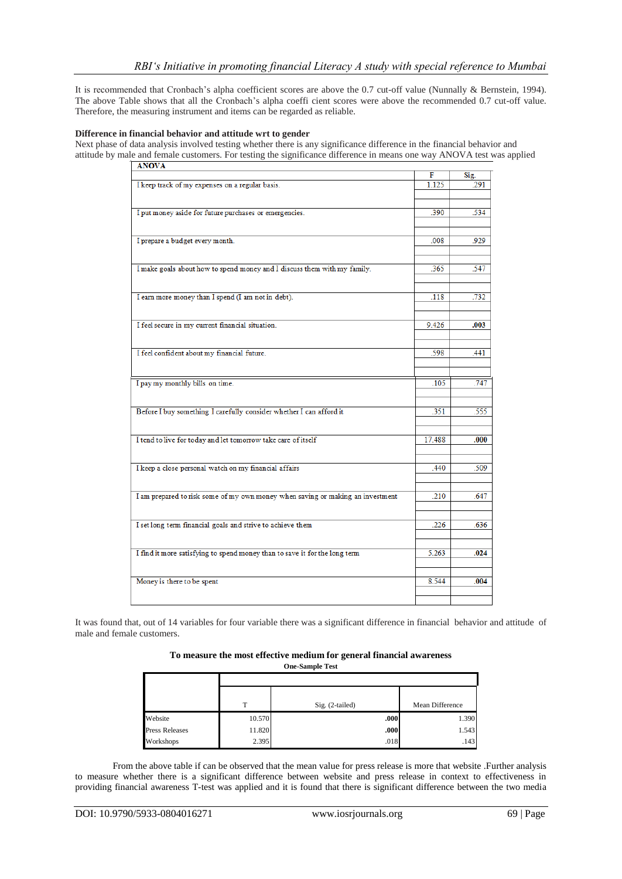It is recommended that Cronbach's alpha coefficient scores are above the 0.7 cut-off value (Nunnally & Bernstein, 1994). The above Table shows that all the Cronbach"s alpha coeffi cient scores were above the recommended 0.7 cut-off value. Therefore, the measuring instrument and items can be regarded as reliable.

# **Difference in financial behavior and attitude wrt to gender**

Next phase of data analysis involved testing whether there is any significance difference in the financial behavior and attitude by male and female customers. For testing the significance difference in means one way ANOVA test was applied

| <b>ANOVA</b>                                                                   |        |      |
|--------------------------------------------------------------------------------|--------|------|
|                                                                                | F      | Sig. |
| I keep track of my expenses on a regular basis.                                | 1.125  | .291 |
|                                                                                |        |      |
| I put money aside for future purchases or emergencies.                         | .390   | .534 |
|                                                                                |        |      |
|                                                                                |        |      |
| I prepare a budget every month.                                                | .008   | .929 |
|                                                                                |        |      |
| I make goals about how to spend money and I discuss them with my family.       | .365   | .547 |
|                                                                                |        |      |
| I earn more money than I spend (I am not in debt).                             | .118   | .732 |
|                                                                                |        |      |
|                                                                                |        |      |
| I feel secure in my current financial situation.                               | 9.426  | .003 |
|                                                                                |        |      |
| I feel confident about my financial future.                                    | .598   | .441 |
|                                                                                |        |      |
|                                                                                |        |      |
| I pay my monthly bills on time.                                                | .105   | .747 |
|                                                                                |        |      |
| Before I buy something I carefully consider whether I can afford it            | .351   | .555 |
|                                                                                |        |      |
| I tend to live for today and let tomorrow take care of itself                  | 17.488 | .000 |
|                                                                                |        |      |
|                                                                                |        |      |
| I keep a close personal watch on my financial affairs                          | .440   | .509 |
|                                                                                |        |      |
| I am prepared to risk some of my own money when saving or making an investment | .210   | .647 |
|                                                                                |        |      |
|                                                                                |        |      |
| I set long term financial goals and strive to achieve them                     | .226   | .636 |
|                                                                                |        |      |
| I find it more satisfying to spend money than to save it for the long term     | 5.263  | .024 |
|                                                                                |        |      |
| Money is there to be spent                                                     | 8.544  | .004 |
|                                                                                |        |      |
|                                                                                |        |      |

It was found that, out of 14 variables for four variable there was a significant difference in financial behavior and attitude of male and female customers.

**To measure the most effective medium for general financial awareness One-Sample Test**

|                       | $\mathbf T$ | Sig. (2-tailed) | Mean Difference |
|-----------------------|-------------|-----------------|-----------------|
| Website               | 10.570      | .000            | 1.390           |
| <b>Press Releases</b> | 11.820      | .000            | 1.543           |
| Workshops             | 2.395       | .018            | .143            |

From the above table if can be observed that the mean value for press release is more that website .Further analysis to measure whether there is a significant difference between website and press release in context to effectiveness in providing financial awareness T-test was applied and it is found that there is significant difference between the two media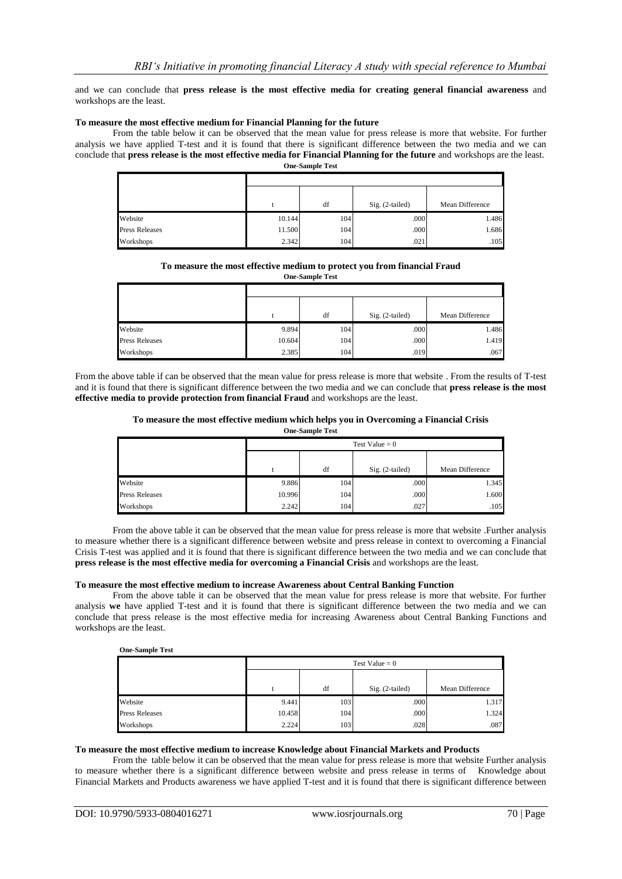and we can conclude that **press release is the most effective media for creating general financial awareness** and workshops are the least.

#### **To measure the most effective medium for Financial Planning for the future**

From the table below it can be observed that the mean value for press release is more that website. For further analysis we have applied T-test and it is found that there is significant difference between the two media and we can conclude that **press release is the most effective media for Financial Planning for the future** and workshops are the least.

| <b>One-Sample Test</b> |
|------------------------|
|------------------------|

|                       |        | df  | $Sig. (2-tailed)$ | Mean Difference |
|-----------------------|--------|-----|-------------------|-----------------|
| Website               | 10.144 | 104 | .000              | 1.486           |
| <b>Press Releases</b> | 11.500 | 104 | .000              | 1.686           |
| Workshops             | 2.342  | 104 | .021              | .105            |

#### **To measure the most effective medium to protect you from financial Fraud**

|                       |        | df  | Sig. (2-tailed) | Mean Difference |
|-----------------------|--------|-----|-----------------|-----------------|
| Website               | 9.894  | 104 | .000            | 1.486           |
| <b>Press Releases</b> | 10.604 | 104 | .000            | 1.419           |
| Workshops             | 2.385  | 104 | .019            | .067            |

From the above table if can be observed that the mean value for press release is more that website . From the results of T-test and it is found that there is significant difference between the two media and we can conclude that **press release is the most effective media to provide protection from financial Fraud** and workshops are the least.

**To measure the most effective medium which helps you in Overcoming a Financial Crisis**

**One-Sample Test**

|                | Test Value = $0$ |     |                 |                 |
|----------------|------------------|-----|-----------------|-----------------|
|                |                  |     |                 |                 |
|                |                  | df  | Sig. (2-tailed) | Mean Difference |
| Website        | 9.886            | 104 | .000            | 1.345           |
| Press Releases | 10.996           | 104 | .000            | 1.600           |
| Workshops      | 2.242            | 104 | .027            | .105            |

From the above table it can be observed that the mean value for press release is more that website .Further analysis to measure whether there is a significant difference between website and press release in context to overcoming a Financial Crisis T-test was applied and it is found that there is significant difference between the two media and we can conclude that **press release is the most effective media for overcoming a Financial Crisis** and workshops are the least.

#### **To measure the most effective medium to increase Awareness about Central Banking Function**

From the above table it can be observed that the mean value for press release is more that website. For further analysis **we** have applied T-test and it is found that there is significant difference between the two media and we can conclude that press release is the most effective media for increasing Awareness about Central Banking Functions and workshops are the least.

| ______                |                  |     |                 |                 |
|-----------------------|------------------|-----|-----------------|-----------------|
|                       | Test Value = $0$ |     |                 |                 |
|                       |                  |     |                 |                 |
|                       |                  | df  | Sig. (2-tailed) | Mean Difference |
| Website               | 9.441            | 103 | .000            | 1.317           |
| <b>Press Releases</b> | 10.458           | 104 | .000            | 1.324           |
| Workshops             | 2.224            | 103 | .028            | .087            |

#### **To measure the most effective medium to increase Knowledge about Financial Markets and Products**

From the table below it can be observed that the mean value for press release is more that website Further analysis to measure whether there is a significant difference between website and press release in terms of Knowledge about Financial Markets and Products awareness we have applied T-test and it is found that there is significant difference between